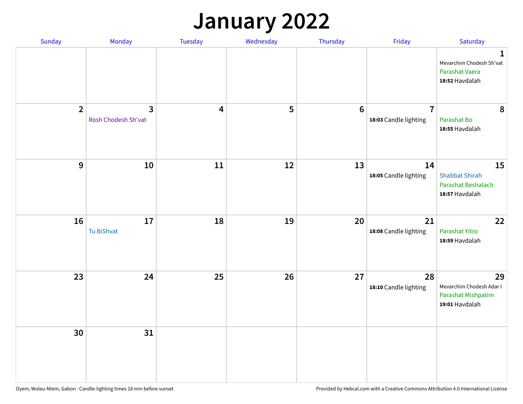## **January 2022**

| Sunday         | Monday                              | Tuesday                 | Wednesday | Thursday        | Friday                                  | Saturday                                                                    |
|----------------|-------------------------------------|-------------------------|-----------|-----------------|-----------------------------------------|-----------------------------------------------------------------------------|
|                |                                     |                         |           |                 |                                         | $\mathbf 1$<br>Mevarchim Chodesh Sh'vat<br>Parashat Vaera<br>18:52 Havdalah |
| $\overline{2}$ | $\mathbf{3}$<br>Rosh Chodesh Sh'vat | $\overline{\mathbf{4}}$ | 5         | $6\phantom{1}6$ | $\overline{7}$<br>18:03 Candle lighting | 8<br>Parashat Bo<br>18:55 Havdalah                                          |
| $\overline{9}$ | 10                                  | 11                      | 12        | 13              | 14<br>18:05 Candle lighting             | 15<br><b>Shabbat Shirah</b><br>Parashat Beshalach<br>18:57 Havdalah         |
| 16             | $17\,$<br>Tu BiShvat                | 18                      | 19        | 20              | 21<br>18:08 Candle lighting             | 22<br>Parashat Yitro<br>18:59 Havdalah                                      |
| 23             | 24                                  | 25                      | 26        | 27              | 28<br>18:10 Candle lighting             | 29<br>Mevarchim Chodesh Adar I<br>Parashat Mishpatim<br>19:01 Havdalah      |
| 30             | 31                                  |                         |           |                 |                                         |                                                                             |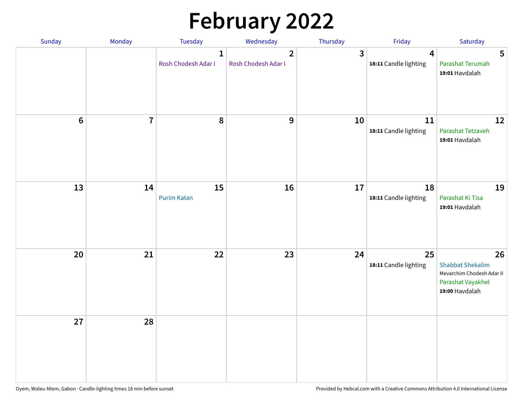# **February 2022**

| Sunday  | Monday                  | <b>Tuesday</b>                      | Wednesday                             | Thursday | Friday                                           | Saturday                                                                                          |
|---------|-------------------------|-------------------------------------|---------------------------------------|----------|--------------------------------------------------|---------------------------------------------------------------------------------------------------|
|         |                         | $\mathbf{1}$<br>Rosh Chodesh Adar I | $\overline{2}$<br>Rosh Chodesh Adar I | 3        | $\overline{\mathbf{4}}$<br>18:11 Candle lighting | 5<br>Parashat Terumah<br>19:01 Havdalah                                                           |
| $\bf 6$ | $\overline{\mathbf{7}}$ | 8                                   | $\boldsymbol{9}$                      | 10       | 11<br>18:11 Candle lighting                      | 12<br>Parashat Tetzaveh<br>19:01 Havdalah                                                         |
| 13      | 14                      | 15<br><b>Purim Katan</b>            | 16                                    | 17       | 18<br>18:11 Candle lighting                      | 19<br>Parashat Ki Tisa<br>19:01 Havdalah                                                          |
| 20      | 21                      | 22                                  | 23                                    | 24       | 25<br>18:11 Candle lighting                      | 26<br><b>Shabbat Shekalim</b><br>Mevarchim Chodesh Adar II<br>Parashat Vayakhel<br>19:00 Havdalah |
| 27      | 28                      |                                     |                                       |          |                                                  |                                                                                                   |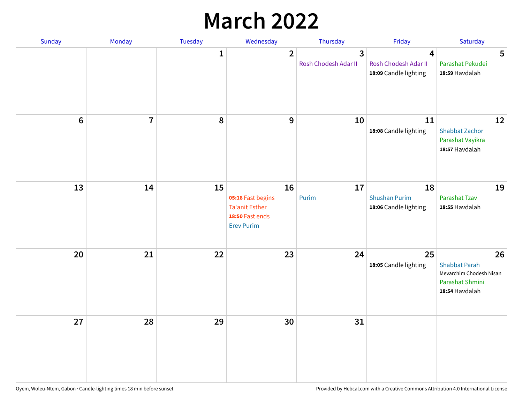## **March 2022**

| Sunday         | Monday         | <b>Tuesday</b> | Wednesday                                                                                | Thursday                  | Friday                                                                   | Saturday                                                                                   |
|----------------|----------------|----------------|------------------------------------------------------------------------------------------|---------------------------|--------------------------------------------------------------------------|--------------------------------------------------------------------------------------------|
|                |                | $\mathbf{1}$   | $\overline{2}$                                                                           | 3<br>Rosh Chodesh Adar II | $\overline{\mathbf{4}}$<br>Rosh Chodesh Adar II<br>18:09 Candle lighting | 5<br>Parashat Pekudei<br>18:59 Havdalah                                                    |
| $6\phantom{1}$ | $\overline{7}$ | 8              | $\mathbf 9$                                                                              | 10                        | 11<br>18:08 Candle lighting                                              | 12<br><b>Shabbat Zachor</b><br>Parashat Vayikra<br>18:57 Havdalah                          |
| 13             | 14             | 15             | 16<br>05:18 Fast begins<br><b>Ta'anit Esther</b><br>18:50 Fast ends<br><b>Erev Purim</b> | 17<br>Purim               | 18<br><b>Shushan Purim</b><br>18:06 Candle lighting                      | 19<br>Parashat Tzav<br>18:55 Havdalah                                                      |
| 20             | 21             | 22             | 23                                                                                       | 24                        | 25<br>18:05 Candle lighting                                              | 26<br><b>Shabbat Parah</b><br>Mevarchim Chodesh Nisan<br>Parashat Shmini<br>18:54 Havdalah |
| 27             | 28             | 29             | 30                                                                                       | 31                        |                                                                          |                                                                                            |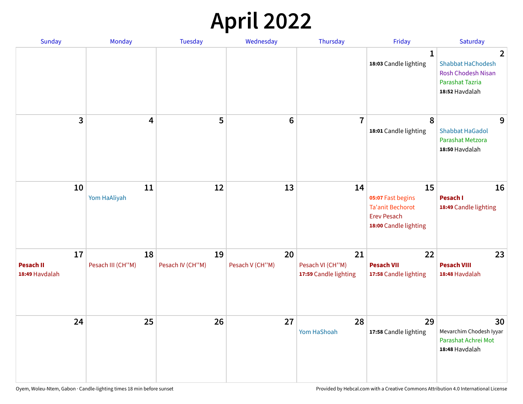## **April 2022**

| Sunday                                   | Monday                  | <b>Tuesday</b>         | Wednesday             | Thursday                                        | Friday                                                                                            | Saturday                                                                                                            |
|------------------------------------------|-------------------------|------------------------|-----------------------|-------------------------------------------------|---------------------------------------------------------------------------------------------------|---------------------------------------------------------------------------------------------------------------------|
|                                          |                         |                        |                       |                                                 | $\mathbf{1}$<br>18:03 Candle lighting                                                             | $\overline{2}$<br><b>Shabbat HaChodesh</b><br><b>Rosh Chodesh Nisan</b><br><b>Parashat Tazria</b><br>18:52 Havdalah |
| 3                                        | $\overline{\mathbf{4}}$ | 5                      | $6\phantom{1}6$       | $\overline{7}$                                  | 8<br>18:01 Candle lighting                                                                        | 9<br><b>Shabbat HaGadol</b><br>Parashat Metzora<br>18:50 Havdalah                                                   |
| 10                                       | 11<br>Yom HaAliyah      | 12                     | 13                    | 14                                              | 15<br>05:07 Fast begins<br><b>Ta'anit Bechorot</b><br><b>Erev Pesach</b><br>18:00 Candle lighting | 16<br>Pesach I<br>18:49 Candle lighting                                                                             |
| 17<br><b>Pesach II</b><br>18:49 Havdalah | 18<br>Pesach III (CH"M) | 19<br>Pesach IV (CH"M) | 20<br>Pesach V (CH"M) | 21<br>Pesach VI (CH"M)<br>17:59 Candle lighting | 22<br><b>Pesach VII</b><br>17:58 Candle lighting                                                  | 23<br><b>Pesach VIII</b><br>18:48 Havdalah                                                                          |
| 24                                       | 25                      | 26                     | 27                    | 28<br>Yom HaShoah                               | 29<br>17:58 Candle lighting                                                                       | 30<br>Mevarchim Chodesh Iyyar<br>Parashat Achrei Mot<br>18:48 Havdalah                                              |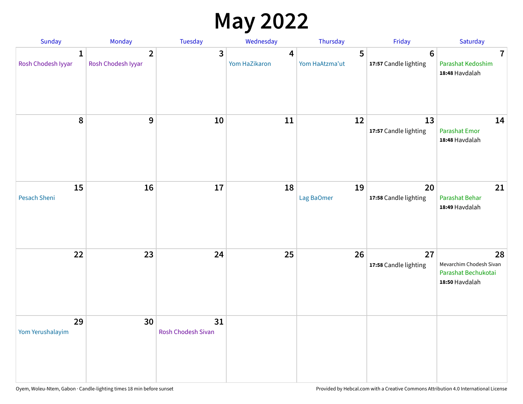## **May 2022**

| Sunday                             | Monday                               | Tuesday                         | Wednesday          | Thursday            | Friday                                  | Saturday                                                               |
|------------------------------------|--------------------------------------|---------------------------------|--------------------|---------------------|-----------------------------------------|------------------------------------------------------------------------|
| $\mathbf{1}$<br>Rosh Chodesh Iyyar | $\overline{2}$<br>Rosh Chodesh Iyyar | 3                               | 4<br>Yom HaZikaron | 5<br>Yom HaAtzma'ut | $6\phantom{1}$<br>17:57 Candle lighting | $\overline{7}$<br>Parashat Kedoshim<br>18:48 Havdalah                  |
| 8                                  | 9                                    | 10                              | 11                 | 12                  | 13<br>17:57 Candle lighting             | 14<br><b>Parashat Emor</b><br>18:48 Havdalah                           |
| 15<br>Pesach Sheni                 | 16                                   | 17                              | 18                 | 19<br>Lag BaOmer    | 20<br>17:58 Candle lighting             | 21<br>Parashat Behar<br>18:49 Havdalah                                 |
| 22                                 | 23                                   | 24                              | 25                 | 26                  | 27<br>17:58 Candle lighting             | 28<br>Mevarchim Chodesh Sivan<br>Parashat Bechukotai<br>18:50 Havdalah |
| 29<br>Yom Yerushalayim             | 30                                   | 31<br><b>Rosh Chodesh Sivan</b> |                    |                     |                                         |                                                                        |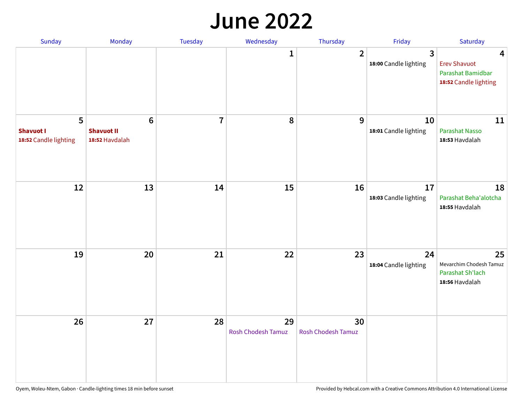#### **June 2022**

| Sunday                                         | Monday                                         | Tuesday        | Wednesday                       | Thursday                 | Friday                      | Saturday                                                                                     |
|------------------------------------------------|------------------------------------------------|----------------|---------------------------------|--------------------------|-----------------------------|----------------------------------------------------------------------------------------------|
|                                                |                                                |                | 1                               | $\overline{2}$           | 3<br>18:00 Candle lighting  | $\overline{\mathbf{4}}$<br><b>Erev Shavuot</b><br>Parashat Bamidbar<br>18:52 Candle lighting |
| 5<br><b>Shavuot I</b><br>18:52 Candle lighting | $\bf 6$<br><b>Shavuot II</b><br>18:52 Havdalah | $\overline{7}$ | 8                               | 9                        | 10<br>18:01 Candle lighting | 11<br>Parashat Nasso<br>18:53 Havdalah                                                       |
| 12                                             | 13                                             | 14             | 15                              | 16                       | 17<br>18:03 Candle lighting | 18<br>Parashat Beha'alotcha<br>18:55 Havdalah                                                |
| 19                                             | 20                                             | 21             | 22                              | 23                       | 24<br>18:04 Candle lighting | 25<br>Mevarchim Chodesh Tamuz<br>Parashat Sh'lach<br>18:56 Havdalah                          |
| 26                                             | 27                                             | 28             | 29<br><b>Rosh Chodesh Tamuz</b> | 30<br>Rosh Chodesh Tamuz |                             |                                                                                              |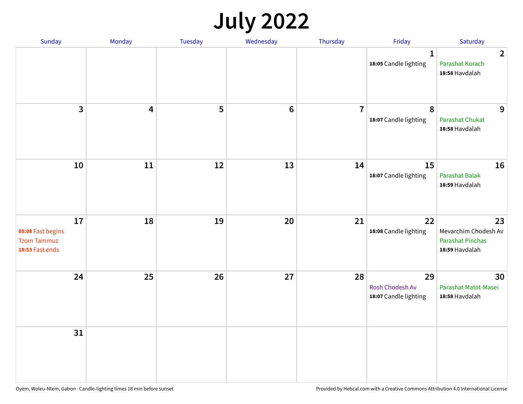## **July 2022**

| Sunday                                                           | Monday | Tuesday | Wednesday | Thursday       | Friday                                         | Saturday                                                                |
|------------------------------------------------------------------|--------|---------|-----------|----------------|------------------------------------------------|-------------------------------------------------------------------------|
|                                                                  |        |         |           |                | $\mathbf{1}$<br>18:05 Candle lighting          | $\overline{2}$<br>Parashat Korach<br>18:58 Havdalah                     |
| $\mathbf{3}$                                                     | 4      | 5       | $\bf 6$   | $\overline{7}$ | 8<br>18:07 Candle lighting                     | 9<br><b>Parashat Chukat</b><br>18:58 Havdalah                           |
| 10                                                               | 11     | 12      | 13        | 14             | 15<br>18:07 Candle lighting                    | 16<br>Parashat Balak<br>18:59 Havdalah                                  |
| 17<br>05:08 Fast begins<br><b>Tzom Tammuz</b><br>18:53 Fast ends | 18     | 19      | 20        | 21             | 22<br>18:08 Candle lighting                    | 23<br>Mevarchim Chodesh Av<br><b>Parashat Pinchas</b><br>18:59 Havdalah |
| 24                                                               | 25     | 26      | 27        | 28             | 29<br>Rosh Chodesh Av<br>18:07 Candle lighting | 30<br>Parashat Matot-Masei<br>18:58 Havdalah                            |
| 31                                                               |        |         |           |                |                                                |                                                                         |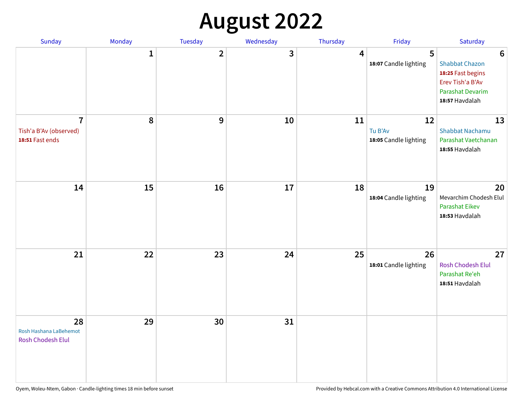## **August 2022**

| Sunday                                                      | Monday       | Tuesday                 | Wednesday | Thursday | Friday                                 | Saturday                                                                                                                       |
|-------------------------------------------------------------|--------------|-------------------------|-----------|----------|----------------------------------------|--------------------------------------------------------------------------------------------------------------------------------|
|                                                             | $\mathbf{1}$ | $\overline{\mathbf{2}}$ | 3         | 4        | 5<br>18:07 Candle lighting             | $6\phantom{1}6$<br><b>Shabbat Chazon</b><br>18:25 Fast begins<br>Erev Tish'a B'Av<br><b>Parashat Devarim</b><br>18:57 Havdalah |
| $\overline{7}$<br>Tish'a B'Av (observed)<br>18:51 Fast ends | 8            | 9                       | 10        | 11       | 12<br>Tu B'Av<br>18:05 Candle lighting | 13<br><b>Shabbat Nachamu</b><br>Parashat Vaetchanan<br>18:55 Havdalah                                                          |
| 14                                                          | 15           | 16                      | 17        | 18       | 19<br>18:04 Candle lighting            | 20<br>Mevarchim Chodesh Elul<br>Parashat Eikev<br>18:53 Havdalah                                                               |
| 21                                                          | 22           | 23                      | 24        | 25       | 26<br>18:01 Candle lighting            | 27<br><b>Rosh Chodesh Elul</b><br>Parashat Re'eh<br>18:51 Havdalah                                                             |
| 28<br>Rosh Hashana LaBehemot<br><b>Rosh Chodesh Elul</b>    | 29           | 30                      | 31        |          |                                        |                                                                                                                                |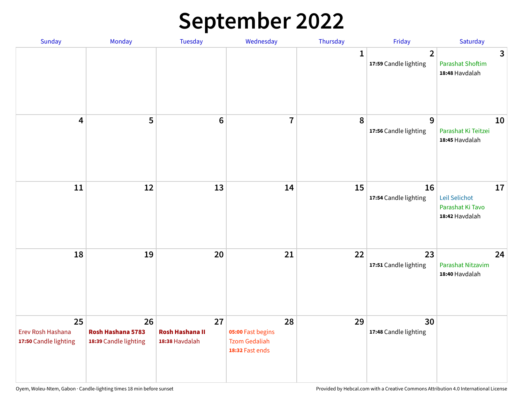## **September 2022**

| Sunday                                           | Monday                                           | Tuesday                                        | Wednesday                                                          | Thursday     | Friday                                  | Saturday                                                  |
|--------------------------------------------------|--------------------------------------------------|------------------------------------------------|--------------------------------------------------------------------|--------------|-----------------------------------------|-----------------------------------------------------------|
|                                                  |                                                  |                                                |                                                                    | $\mathbf{1}$ | $\overline{2}$<br>17:59 Candle lighting | 3<br><b>Parashat Shoftim</b><br>18:48 Havdalah            |
| $\overline{\mathbf{4}}$                          | 5                                                | $6\phantom{1}6$                                | $\overline{7}$                                                     | 8            | 9<br>17:56 Candle lighting              | 10<br>Parashat Ki Teitzei<br>18:45 Havdalah               |
| $11\,$                                           | 12                                               | 13                                             | 14                                                                 | 15           | 16<br>17:54 Candle lighting             | 17<br>Leil Selichot<br>Parashat Ki Tavo<br>18:42 Havdalah |
| 18                                               | 19                                               | 20                                             | 21                                                                 | 22           | 23<br>17:51 Candle lighting             | 24<br>Parashat Nitzavim<br>18:40 Havdalah                 |
| 25<br>Erev Rosh Hashana<br>17:50 Candle lighting | 26<br>Rosh Hashana 5783<br>18:39 Candle lighting | 27<br><b>Rosh Hashana II</b><br>18:38 Havdalah | 28<br>05:00 Fast begins<br><b>Tzom Gedaliah</b><br>18:32 Fast ends | 29           | 30<br>17:48 Candle lighting             |                                                           |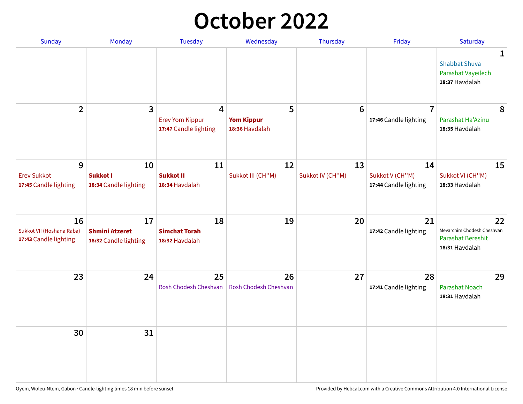## **October 2022**

| Sunday                                                   | Monday                                               | <b>Tuesday</b>                                                    | Wednesday                                | Thursday               | Friday                                         | Saturday                                                                |
|----------------------------------------------------------|------------------------------------------------------|-------------------------------------------------------------------|------------------------------------------|------------------------|------------------------------------------------|-------------------------------------------------------------------------|
|                                                          |                                                      |                                                                   |                                          |                        |                                                | 1<br><b>Shabbat Shuva</b><br>Parashat Vayeilech<br>18:37 Havdalah       |
| $\overline{2}$                                           | $\overline{\mathbf{3}}$                              | $\overline{4}$<br><b>Erev Yom Kippur</b><br>17:47 Candle lighting | 5<br><b>Yom Kippur</b><br>18:36 Havdalah | 6                      | $\overline{7}$<br>17:46 Candle lighting        | 8<br>Parashat Ha'Azinu<br>18:35 Havdalah                                |
| 9<br><b>Erev Sukkot</b><br>17:45 Candle lighting         | 10<br><b>Sukkot I</b><br>18:34 Candle lighting       | 11<br><b>Sukkot II</b><br>18:34 Havdalah                          | 12<br>Sukkot III (CH"M)                  | 13<br>Sukkot IV (CH"M) | 14<br>Sukkot V (CH"M)<br>17:44 Candle lighting | 15<br>Sukkot VI (CH"M)<br>18:33 Havdalah                                |
| 16<br>Sukkot VII (Hoshana Raba)<br>17:43 Candle lighting | 17<br><b>Shmini Atzeret</b><br>18:32 Candle lighting | 18<br><b>Simchat Torah</b><br>18:32 Havdalah                      | 19                                       | 20                     | 21<br>17:42 Candle lighting                    | 22<br>Mevarchim Chodesh Cheshvan<br>Parashat Bereshit<br>18:31 Havdalah |
| 23                                                       | 24                                                   | 25<br>Rosh Chodesh Cheshvan                                       | 26<br>Rosh Chodesh Cheshvan              | 27                     | 28<br>17:41 Candle lighting                    | 29<br><b>Parashat Noach</b><br>18:31 Havdalah                           |
| 30                                                       | 31                                                   |                                                                   |                                          |                        |                                                |                                                                         |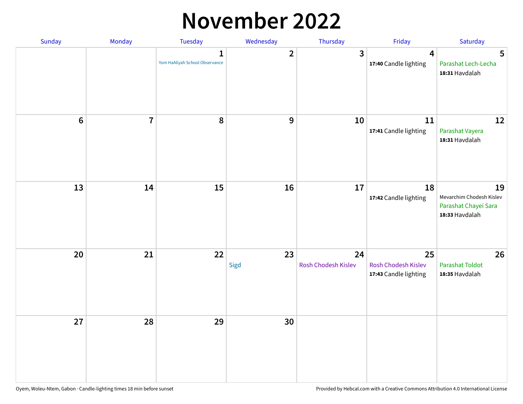#### **November 2022**

| Sunday         | Monday                  | Tuesday                             | Wednesday               | Thursday                  | Friday                                             | Saturday                                                                 |
|----------------|-------------------------|-------------------------------------|-------------------------|---------------------------|----------------------------------------------------|--------------------------------------------------------------------------|
|                |                         | 1<br>Yom HaAliyah School Observance | $\overline{\mathbf{2}}$ | $\mathbf{3}$              | $\overline{\mathbf{4}}$<br>17:40 Candle lighting   | 5<br>Parashat Lech-Lecha<br>18:31 Havdalah                               |
| $6\phantom{1}$ | $\overline{\mathbf{I}}$ | 8                                   | $\boldsymbol{9}$        | 10                        | $11\,$<br>17:41 Candle lighting                    | 12<br>Parashat Vayera<br>18:31 Havdalah                                  |
| 13             | 14                      | 15                                  | 16                      | 17                        | 18<br>17:42 Candle lighting                        | 19<br>Mevarchim Chodesh Kislev<br>Parashat Chayei Sara<br>18:33 Havdalah |
| 20             | 21                      | 22                                  | 23<br>Sigd              | 24<br>Rosh Chodesh Kislev | 25<br>Rosh Chodesh Kislev<br>17:43 Candle lighting | 26<br><b>Parashat Toldot</b><br>18:35 Havdalah                           |
| 27             | 28                      | 29                                  | 30                      |                           |                                                    |                                                                          |